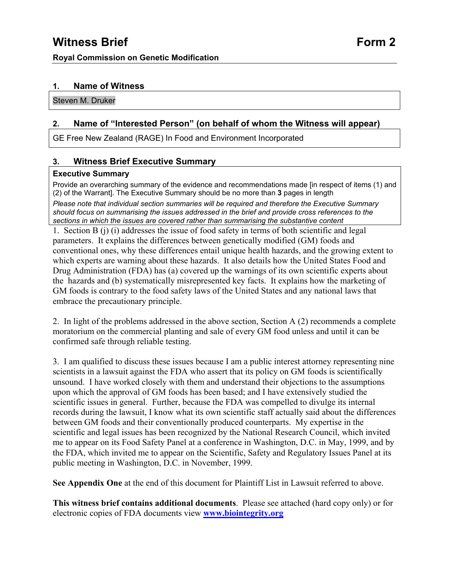## **1. Name of Witness**

Steven M. Druker

## **2. Name of "Interested Person" (on behalf of whom the Witness will appear)**

GE Free New Zealand (RAGE) In Food and Environment Incorporated

## **3. Witness Brief Executive Summary**

#### **Executive Summary**

Provide an overarching summary of the evidence and recommendations made [in respect of items (1) and (2) of the Warrant]. The Executive Summary should be no more than **3** pages in length

*Please note that individual section summaries will be required and therefore the Executive Summary should focus on summarising the issues addressed in the brief and provide cross references to the sections in which the issues are covered rather than summarising the substantive content*

1. Section B (j) (i) addresses the issue of food safety in terms of both scientific and legal parameters. It explains the differences between genetically modified (GM) foods and conventional ones, why these differences entail unique health hazards, and the growing extent to which experts are warning about these hazards. It also details how the United States Food and Drug Administration (FDA) has (a) covered up the warnings of its own scientific experts about the hazards and (b) systematically misrepresented key facts. It explains how the marketing of GM foods is contrary to the food safety laws of the United States and any national laws that embrace the precautionary principle.

2. In light of the problems addressed in the above section, Section A (2) recommends a complete moratorium on the commercial planting and sale of every GM food unless and until it can be confirmed safe through reliable testing.

3. I am qualified to discuss these issues because I am a public interest attorney representing nine scientists in a lawsuit against the FDA who assert that its policy on GM foods is scientifically unsound. I have worked closely with them and understand their objections to the assumptions upon which the approval of GM foods has been based; and I have extensively studied the scientific issues in general. Further, because the FDA was compelled to divulge its internal records during the lawsuit, I know what its own scientific staff actually said about the differences between GM foods and their conventionally produced counterparts. My expertise in the scientific and legal issues has been recognized by the National Research Council, which invited me to appear on its Food Safety Panel at a conference in Washington, D.C. in May, 1999, and by the FDA, which invited me to appear on the Scientific, Safety and Regulatory Issues Panel at its public meeting in Washington, D.C. in November, 1999.

**See Appendix One** at the end of this document for Plaintiff List in Lawsuit referred to above.

**This witness brief contains additional documents**. Please see attached (hard copy only) or for electronic copies of FDA documents view **[www.biointegrity.org](http://www.biointegrity.org/)**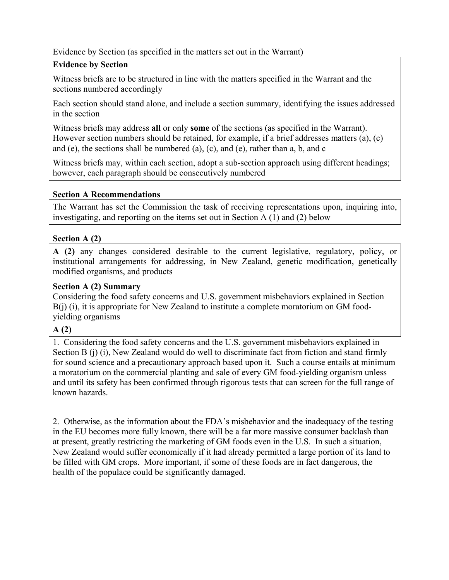## Evidence by Section (as specified in the matters set out in the Warrant)

## **Evidence by Section**

Witness briefs are to be structured in line with the matters specified in the Warrant and the sections numbered accordingly

Each section should stand alone, and include a section summary, identifying the issues addressed in the section

Witness briefs may address **all** or only **some** of the sections (as specified in the Warrant). However section numbers should be retained, for example, if a brief addresses matters (a), (c) and (e), the sections shall be numbered (a), (c), and (e), rather than a, b, and c

Witness briefs may, within each section, adopt a sub-section approach using different headings; however, each paragraph should be consecutively numbered

## **Section A Recommendations**

The Warrant has set the Commission the task of receiving representations upon, inquiring into, investigating, and reporting on the items set out in Section A (1) and (2) below

## **Section A (2)**

**A (2)** any changes considered desirable to the current legislative, regulatory, policy, or institutional arrangements for addressing, in New Zealand, genetic modification, genetically modified organisms, and products

# **Section A (2) Summary**

Considering the food safety concerns and U.S. government misbehaviors explained in Section B(j) (i), it is appropriate for New Zealand to institute a complete moratorium on GM foodyielding organisms

#### **A (2)**

1. Considering the food safety concerns and the U.S. government misbehaviors explained in Section B (j) (i), New Zealand would do well to discriminate fact from fiction and stand firmly for sound science and a precautionary approach based upon it. Such a course entails at minimum a moratorium on the commercial planting and sale of every GM food-yielding organism unless and until its safety has been confirmed through rigorous tests that can screen for the full range of known hazards.

2. Otherwise, as the information about the FDA's misbehavior and the inadequacy of the testing in the EU becomes more fully known, there will be a far more massive consumer backlash than at present, greatly restricting the marketing of GM foods even in the U.S. In such a situation, New Zealand would suffer economically if it had already permitted a large portion of its land to be filled with GM crops. More important, if some of these foods are in fact dangerous, the health of the populace could be significantly damaged.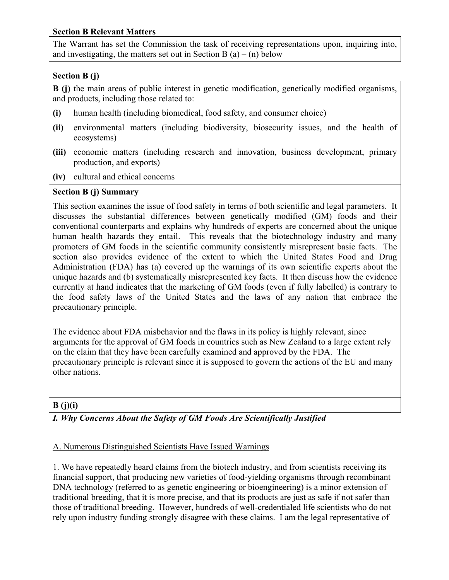## **Section B Relevant Matters**

The Warrant has set the Commission the task of receiving representations upon, inquiring into, and investigating, the matters set out in Section B  $(a) - (n)$  below

#### **Section B (j)**

**B (j)** the main areas of public interest in genetic modification, genetically modified organisms, and products, including those related to:

- **(i)** human health (including biomedical, food safety, and consumer choice)
- **(ii)** environmental matters (including biodiversity, biosecurity issues, and the health of ecosystems)
- **(iii)** economic matters (including research and innovation, business development, primary production, and exports)
- **(iv)** cultural and ethical concerns

#### **Section B (j) Summary**

This section examines the issue of food safety in terms of both scientific and legal parameters. It discusses the substantial differences between genetically modified (GM) foods and their conventional counterparts and explains why hundreds of experts are concerned about the unique human health hazards they entail. This reveals that the biotechnology industry and many promoters of GM foods in the scientific community consistently misrepresent basic facts. The section also provides evidence of the extent to which the United States Food and Drug Administration (FDA) has (a) covered up the warnings of its own scientific experts about the unique hazards and (b) systematically misrepresented key facts. It then discuss how the evidence currently at hand indicates that the marketing of GM foods (even if fully labelled) is contrary to the food safety laws of the United States and the laws of any nation that embrace the precautionary principle.

The evidence about FDA misbehavior and the flaws in its policy is highly relevant, since arguments for the approval of GM foods in countries such as New Zealand to a large extent rely on the claim that they have been carefully examined and approved by the FDA. The precautionary principle is relevant since it is supposed to govern the actions of the EU and many other nations.

#### **B (j)(i)**

# *I. Why Concerns About the Safety of GM Foods Are Scientifically Justified*

#### A. Numerous Distinguished Scientists Have Issued Warnings

1. We have repeatedly heard claims from the biotech industry, and from scientists receiving its financial support, that producing new varieties of food-yielding organisms through recombinant DNA technology (referred to as genetic engineering or bioengineering) is a minor extension of traditional breeding, that it is more precise, and that its products are just as safe if not safer than those of traditional breeding. However, hundreds of well-credentialed life scientists who do not rely upon industry funding strongly disagree with these claims. I am the legal representative of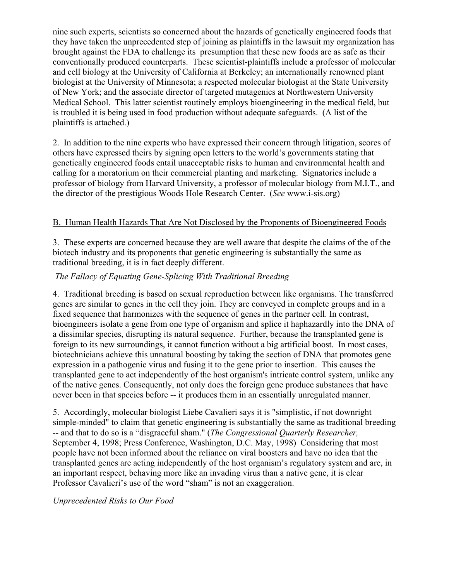nine such experts, scientists so concerned about the hazards of genetically engineered foods that they have taken the unprecedented step of joining as plaintiffs in the lawsuit my organization has brought against the FDA to challenge its presumption that these new foods are as safe as their conventionally produced counterparts. These scientist-plaintiffs include a professor of molecular and cell biology at the University of California at Berkeley; an internationally renowned plant biologist at the University of Minnesota; a respected molecular biologist at the State University of New York; and the associate director of targeted mutagenics at Northwestern University Medical School. This latter scientist routinely employs bioengineering in the medical field, but is troubled it is being used in food production without adequate safeguards. (A list of the plaintiffs is attached.)

2. In addition to the nine experts who have expressed their concern through litigation, scores of others have expressed theirs by signing open letters to the world's governments stating that genetically engineered foods entail unacceptable risks to human and environmental health and calling for a moratorium on their commercial planting and marketing. Signatories include a professor of biology from Harvard University, a professor of molecular biology from M.I.T., and the director of the prestigious Woods Hole Research Center. (*See* www.i-sis.org)

## B. Human Health Hazards That Are Not Disclosed by the Proponents of Bioengineered Foods

3. These experts are concerned because they are well aware that despite the claims of the of the biotech industry and its proponents that genetic engineering is substantially the same as traditional breeding, it is in fact deeply different.

## *The Fallacy of Equating Gene-Splicing With Traditional Breeding*

4. Traditional breeding is based on sexual reproduction between like organisms. The transferred genes are similar to genes in the cell they join. They are conveyed in complete groups and in a fixed sequence that harmonizes with the sequence of genes in the partner cell. In contrast, bioengineers isolate a gene from one type of organism and splice it haphazardly into the DNA of a dissimilar species, disrupting its natural sequence. Further, because the transplanted gene is foreign to its new surroundings, it cannot function without a big artificial boost. In most cases, biotechnicians achieve this unnatural boosting by taking the section of DNA that promotes gene expression in a pathogenic virus and fusing it to the gene prior to insertion. This causes the transplanted gene to act independently of the host organism's intricate control system, unlike any of the native genes. Consequently, not only does the foreign gene produce substances that have never been in that species before -- it produces them in an essentially unregulated manner.

5. Accordingly, molecular biologist Liebe Cavalieri says it is "simplistic, if not downright simple-minded" to claim that genetic engineering is substantially the same as traditional breeding -- and that to do so is a "disgraceful sham." (*The Congressional Quarterly Researcher,* September 4, 1998; Press Conference, Washington, D.C. May, 1998) Considering that most people have not been informed about the reliance on viral boosters and have no idea that the transplanted genes are acting independently of the host organism's regulatory system and are, in an important respect, behaving more like an invading virus than a native gene, it is clear Professor Cavalieri's use of the word "sham" is not an exaggeration.

#### *Unprecedented Risks to Our Food*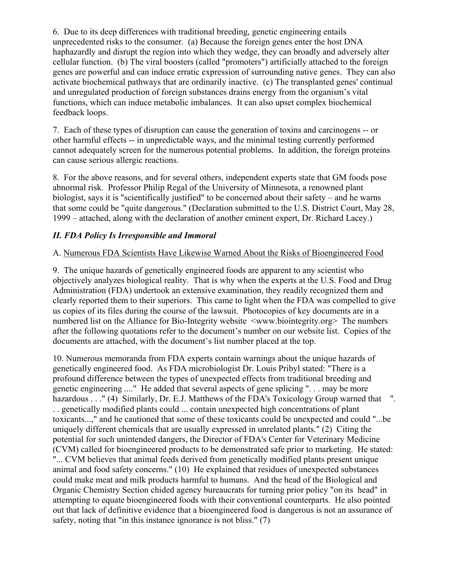6. Due to its deep differences with traditional breeding, genetic engineering entails unprecedented risks to the consumer. (a) Because the foreign genes enter the host DNA haphazardly and disrupt the region into which they wedge, they can broadly and adversely alter cellular function. (b) The viral boosters (called "promoters") artificially attached to the foreign genes are powerful and can induce erratic expression of surrounding native genes. They can also activate biochemical pathways that are ordinarily inactive. (c) The transplanted genes' continual and unregulated production of foreign substances drains energy from the organism's vital functions, which can induce metabolic imbalances. It can also upset complex biochemical feedback loops.

7. Each of these types of disruption can cause the generation of toxins and carcinogens -- or other harmful effects -- in unpredictable ways, and the minimal testing currently performed cannot adequately screen for the numerous potential problems. In addition, the foreign proteins can cause serious allergic reactions.

8. For the above reasons, and for several others, independent experts state that GM foods pose abnormal risk. Professor Philip Regal of the University of Minnesota, a renowned plant biologist, says it is "scientifically justified" to be concerned about their safety – and he warns that some could be "quite dangerous." (Declaration submitted to the U.S. District Court, May 28, 1999 – attached, along with the declaration of another eminent expert, Dr. Richard Lacey.)

## *II. FDA Policy Is Irresponsible and Immoral*

## A. Numerous FDA Scientists Have Likewise Warned About the Risks of Bioengineered Food

9. The unique hazards of genetically engineered foods are apparent to any scientist who objectively analyzes biological reality. That is why when the experts at the U.S. Food and Drug Administration (FDA) undertook an extensive examination, they readily recognized them and clearly reported them to their superiors. This came to light when the FDA was compelled to give us copies of its files during the course of the lawsuit. Photocopies of key documents are in a numbered list on the Alliance for Bio-Integrity website  $\leq$ www.biointegrity.org The numbers after the following quotations refer to the document's number on our website list. Copies of the documents are attached, with the document's list number placed at the top.

10. Numerous memoranda from FDA experts contain warnings about the unique hazards of genetically engineered food. As FDA microbiologist Dr. Louis Pribyl stated: "There is a profound difference between the types of unexpected effects from traditional breeding and genetic engineering ...." He added that several aspects of gene splicing ". . . may be more hazardous . . " (4) Similarly, Dr. E.J. Matthews of the FDA's Toxicology Group warned that ". . . genetically modified plants could ... contain unexpected high concentrations of plant toxicants...," and he cautioned that some of these toxicants could be unexpected and could "...be uniquely different chemicals that are usually expressed in unrelated plants." (2) Citing the potential for such unintended dangers, the Director of FDA's Center for Veterinary Medicine (CVM) called for bioengineered products to be demonstrated safe prior to marketing. He stated: "... CVM believes that animal feeds derived from genetically modified plants present unique animal and food safety concerns." (10) He explained that residues of unexpected substances could make meat and milk products harmful to humans. And the head of the Biological and Organic Chemistry Section chided agency bureaucrats for turning prior policy "on its head" in attempting to equate bioengineered foods with their conventional counterparts. He also pointed out that lack of definitive evidence that a bioengineered food is dangerous is not an assurance of safety, noting that "in this instance ignorance is not bliss." (7)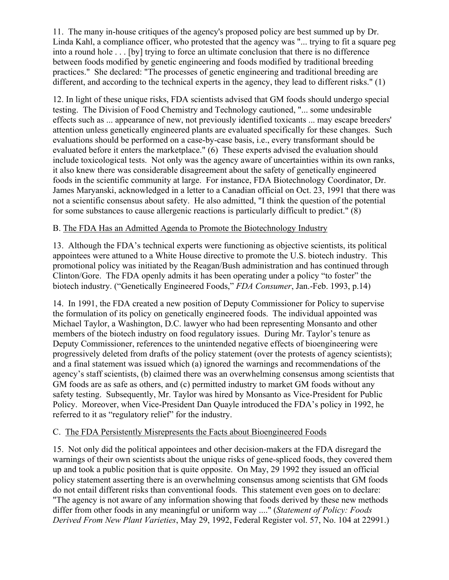11. The many in-house critiques of the agency's proposed policy are best summed up by Dr. Linda Kahl, a compliance officer, who protested that the agency was "... trying to fit a square peg into a round hole . . . [by] trying to force an ultimate conclusion that there is no difference between foods modified by genetic engineering and foods modified by traditional breeding practices." She declared: "The processes of genetic engineering and traditional breeding are different, and according to the technical experts in the agency, they lead to different risks." (1)

12. In light of these unique risks, FDA scientists advised that GM foods should undergo special testing. The Division of Food Chemistry and Technology cautioned, "... some undesirable effects such as ... appearance of new, not previously identified toxicants ... may escape breeders' attention unless genetically engineered plants are evaluated specifically for these changes. Such evaluations should be performed on a case-by-case basis, i.e., every transformant should be evaluated before it enters the marketplace." (6) These experts advised the evaluation should include toxicological tests. Not only was the agency aware of uncertainties within its own ranks, it also knew there was considerable disagreement about the safety of genetically engineered foods in the scientific community at large. For instance, FDA Biotechnology Coordinator, Dr. James Maryanski, acknowledged in a letter to a Canadian official on Oct. 23, 1991 that there was not a scientific consensus about safety. He also admitted, "I think the question of the potential for some substances to cause allergenic reactions is particularly difficult to predict." (8)

## B. The FDA Has an Admitted Agenda to Promote the Biotechnology Industry

13. Although the FDA's technical experts were functioning as objective scientists, its political appointees were attuned to a White House directive to promote the U.S. biotech industry. This promotional policy was initiated by the Reagan/Bush administration and has continued through Clinton/Gore. The FDA openly admits it has been operating under a policy "to foster" the biotech industry. ("Genetically Engineered Foods," *FDA Consumer*, Jan.-Feb. 1993, p.14)

14. In 1991, the FDA created a new position of Deputy Commissioner for Policy to supervise the formulation of its policy on genetically engineered foods. The individual appointed was Michael Taylor, a Washington, D.C. lawyer who had been representing Monsanto and other members of the biotech industry on food regulatory issues. During Mr. Taylor's tenure as Deputy Commissioner, references to the unintended negative effects of bioengineering were progressively deleted from drafts of the policy statement (over the protests of agency scientists); and a final statement was issued which (a) ignored the warnings and recommendations of the agency's staff scientists, (b) claimed there was an overwhelming consensus among scientists that GM foods are as safe as others, and (c) permitted industry to market GM foods without any safety testing. Subsequently, Mr. Taylor was hired by Monsanto as Vice-President for Public Policy. Moreover, when Vice-President Dan Quayle introduced the FDA's policy in 1992, he referred to it as "regulatory relief" for the industry.

#### C. The FDA Persistently Misrepresents the Facts about Bioengineered Foods

15. Not only did the political appointees and other decision-makers at the FDA disregard the warnings of their own scientists about the unique risks of gene-spliced foods, they covered them up and took a public position that is quite opposite. On May, 29 1992 they issued an official policy statement asserting there is an overwhelming consensus among scientists that GM foods do not entail different risks than conventional foods. This statement even goes on to declare: "The agency is not aware of any information showing that foods derived by these new methods differ from other foods in any meaningful or uniform way ...." (*Statement of Policy: Foods Derived From New Plant Varieties*, May 29, 1992, Federal Register vol. 57, No. 104 at 22991.)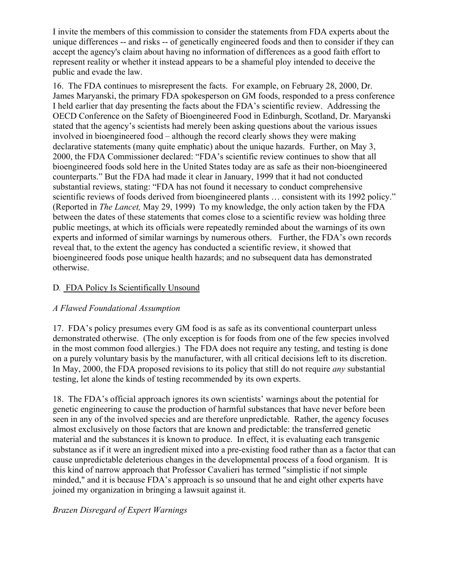I invite the members of this commission to consider the statements from FDA experts about the unique differences -- and risks -- of genetically engineered foods and then to consider if they can accept the agency's claim about having no information of differences as a good faith effort to represent reality or whether it instead appears to be a shameful ploy intended to deceive the public and evade the law.

16. The FDA continues to misrepresent the facts. For example, on February 28, 2000, Dr. James Maryanski, the primary FDA spokesperson on GM foods, responded to a press conference I held earlier that day presenting the facts about the FDA's scientific review. Addressing the OECD Conference on the Safety of Bioengineered Food in Edinburgh, Scotland, Dr. Maryanski stated that the agency's scientists had merely been asking questions about the various issues involved in bioengineered food – although the record clearly shows they were making declarative statements (many quite emphatic) about the unique hazards. Further, on May 3, 2000, the FDA Commissioner declared: "FDA's scientific review continues to show that all bioengineered foods sold here in the United States today are as safe as their non-bioengineered counterparts." But the FDA had made it clear in January, 1999 that it had not conducted substantial reviews, stating: "FDA has not found it necessary to conduct comprehensive scientific reviews of foods derived from bioengineered plants … consistent with its 1992 policy." (Reported in *The Lancet,* May 29, 1999) To my knowledge, the only action taken by the FDA between the dates of these statements that comes close to a scientific review was holding three public meetings, at which its officials were repeatedly reminded about the warnings of its own experts and informed of similar warnings by numerous others. Further, the FDA's own records reveal that, to the extent the agency has conducted a scientific review, it showed that bioengineered foods pose unique health hazards; and no subsequent data has demonstrated otherwise.

## D*.* FDA Policy Is Scientifically Unsound

#### *A Flawed Foundational Assumption*

17. FDA's policy presumes every GM food is as safe as its conventional counterpart unless demonstrated otherwise. (The only exception is for foods from one of the few species involved in the most common food allergies.) The FDA does not require any testing, and testing is done on a purely voluntary basis by the manufacturer, with all critical decisions left to its discretion. In May, 2000, the FDA proposed revisions to its policy that still do not require *any* substantial testing, let alone the kinds of testing recommended by its own experts.

18. The FDA's official approach ignores its own scientists' warnings about the potential for genetic engineering to cause the production of harmful substances that have never before been seen in any of the involved species and are therefore unpredictable. Rather, the agency focuses almost exclusively on those factors that are known and predictable: the transferred genetic material and the substances it is known to produce. In effect, it is evaluating each transgenic substance as if it were an ingredient mixed into a pre-existing food rather than as a factor that can cause unpredictable deleterious changes in the developmental process of a food organism. It is this kind of narrow approach that Professor Cavalieri has termed "simplistic if not simple minded," and it is because FDA's approach is so unsound that he and eight other experts have joined my organization in bringing a lawsuit against it.

#### *Brazen Disregard of Expert Warnings*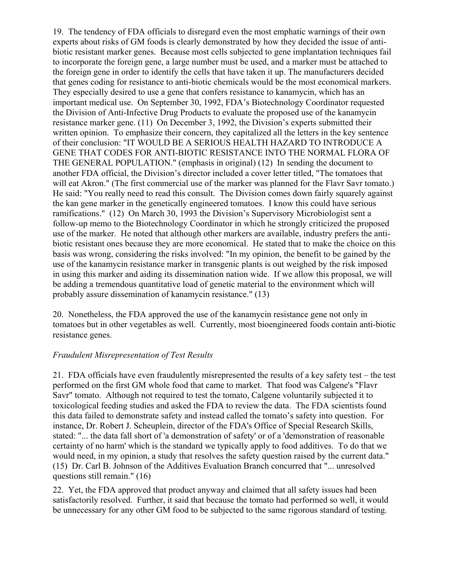19. The tendency of FDA officials to disregard even the most emphatic warnings of their own experts about risks of GM foods is clearly demonstrated by how they decided the issue of antibiotic resistant marker genes. Because most cells subjected to gene implantation techniques fail to incorporate the foreign gene, a large number must be used, and a marker must be attached to the foreign gene in order to identify the cells that have taken it up. The manufacturers decided that genes coding for resistance to anti-biotic chemicals would be the most economical markers. They especially desired to use a gene that confers resistance to kanamycin, which has an important medical use. On September 30, 1992, FDA's Biotechnology Coordinator requested the Division of Anti-Infective Drug Products to evaluate the proposed use of the kanamycin resistance marker gene. (11) On December 3, 1992, the Division's experts submitted their written opinion. To emphasize their concern, they capitalized all the letters in the key sentence of their conclusion: "IT WOULD BE A SERIOUS HEALTH HAZARD TO INTRODUCE A GENE THAT CODES FOR ANTI-BIOTIC RESISTANCE INTO THE NORMAL FLORA OF THE GENERAL POPULATION." (emphasis in original) (12) In sending the document to another FDA official, the Division's director included a cover letter titled, "The tomatoes that will eat Akron." (The first commercial use of the marker was planned for the Flavr Savr tomato.) He said: "You really need to read this consult. The Division comes down fairly squarely against the kan gene marker in the genetically engineered tomatoes. I know this could have serious ramifications." (12) On March 30, 1993 the Division's Supervisory Microbiologist sent a follow-up memo to the Biotechnology Coordinator in which he strongly criticized the proposed use of the marker. He noted that although other markers are available, industry prefers the antibiotic resistant ones because they are more economical. He stated that to make the choice on this basis was wrong, considering the risks involved: "In my opinion, the benefit to be gained by the use of the kanamycin resistance marker in transgenic plants is out weighed by the risk imposed in using this marker and aiding its dissemination nation wide. If we allow this proposal, we will be adding a tremendous quantitative load of genetic material to the environment which will probably assure dissemination of kanamycin resistance." (13)

20. Nonetheless, the FDA approved the use of the kanamycin resistance gene not only in tomatoes but in other vegetables as well. Currently, most bioengineered foods contain anti-biotic resistance genes.

#### *Fraudulent Misrepresentation of Test Results*

21. FDA officials have even fraudulently misrepresented the results of a key safety test – the test performed on the first GM whole food that came to market. That food was Calgene's "Flavr Savr" tomato. Although not required to test the tomato, Calgene voluntarily subjected it to toxicological feeding studies and asked the FDA to review the data. The FDA scientists found this data failed to demonstrate safety and instead called the tomato's safety into question. For instance, Dr. Robert J. Scheuplein, director of the FDA's Office of Special Research Skills, stated: "... the data fall short of 'a demonstration of safety' or of a 'demonstration of reasonable certainty of no harm' which is the standard we typically apply to food additives. To do that we would need, in my opinion, a study that resolves the safety question raised by the current data." (15) Dr. Carl B. Johnson of the Additives Evaluation Branch concurred that "... unresolved questions still remain." (16)

22. Yet, the FDA approved that product anyway and claimed that all safety issues had been satisfactorily resolved. Further, it said that because the tomato had performed so well, it would be unnecessary for any other GM food to be subjected to the same rigorous standard of testing.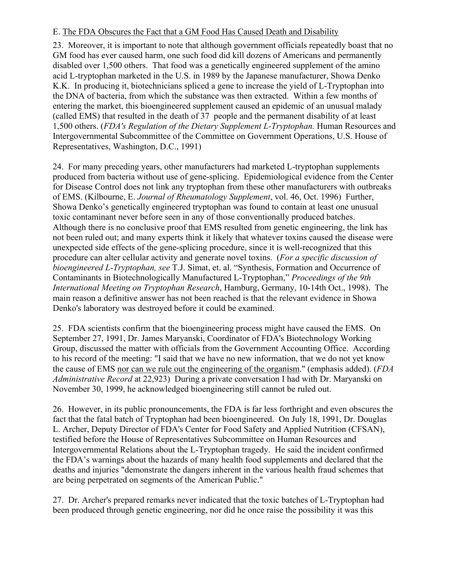#### E. The FDA Obscures the Fact that a GM Food Has Caused Death and Disability

23. Moreover, it is important to note that although government officials repeatedly boast that no GM food has ever caused harm, one such food did kill dozens of Americans and permanently disabled over 1,500 others. That food was a genetically engineered supplement of the amino acid L-tryptophan marketed in the U.S. in 1989 by the Japanese manufacturer, Showa Denko K.K. In producing it, biotechnicians spliced a gene to increase the yield of L-Tryptophan into the DNA of bacteria, from which the substance was then extracted. Within a few months of entering the market, this bioengineered supplement caused an epidemic of an unusual malady (called EMS) that resulted in the death of 37 people and the permanent disability of at least 1,500 others. (*FDA's Regulation of the Dietary Supplement L-Tryptophan.* Human Resources and Intergovernmental Subcommittee of the Committee on Government Operations, U.S. House of Representatives, Washington, D.C., 1991)

24. For many preceding years, other manufacturers had marketed L-tryptophan supplements produced from bacteria without use of gene-splicing. Epidemiological evidence from the Center for Disease Control does not link any tryptophan from these other manufacturers with outbreaks of EMS. (Kilbourne, E. *Journal of Rheumatology Supplement*, vol. 46, Oct. 1996) Further, Showa Denko's genetically engineered tryptophan was found to contain at least one unusual toxic contaminant never before seen in any of those conventionally produced batches. Although there is no conclusive proof that EMS resulted from genetic engineering, the link has not been ruled out; and many experts think it likely that whatever toxins caused the disease were unexpected side effects of the gene-splicing procedure, since it is well-recognized that this procedure can alter cellular activity and generate novel toxins. (*For a specific discussion of bioengineered L-Tryptophan, see* T.J. Simat, et. al. "Synthesis, Formation and Occurrence of Contaminants in Biotechnologically Manufactured L-Tryptophan," *Proceedings of the 9th International Meeting on Tryptophan Research*, Hamburg, Germany, 10-14th Oct., 1998). The main reason a definitive answer has not been reached is that the relevant evidence in Showa Denko's laboratory was destroyed before it could be examined.

25. FDA scientists confirm that the bioengineering process might have caused the EMS. On September 27, 1991, Dr. James Maryanski, Coordinator of FDA's Biotechnology Working Group, discussed the matter with officials from the Government Accounting Office. According to his record of the meeting: "I said that we have no new information, that we do not yet know the cause of EMS nor can we rule out the engineering of the organism." (emphasis added). (*FDA Administrative Record* at 22,923) During a private conversation I had with Dr. Maryanski on November 30, 1999, he acknowledged bioengineering still cannot be ruled out.

26. However, in its public pronouncements, the FDA is far less forthright and even obscures the fact that the fatal batch of Tryptophan had been bioengineered. On July 18, 1991, Dr. Douglas L. Archer, Deputy Director of FDA's Center for Food Safety and Applied Nutrition (CFSAN), testified before the House of Representatives Subcommittee on Human Resources and Intergovernmental Relations about the L-Tryptophan tragedy. He said the incident confirmed the FDA's warnings about the hazards of many health food supplements and declared that the deaths and injuries "demonstrate the dangers inherent in the various health fraud schemes that are being perpetrated on segments of the American Public."

27. Dr. Archer's prepared remarks never indicated that the toxic batches of L-Tryptophan had been produced through genetic engineering, nor did he once raise the possibility it was this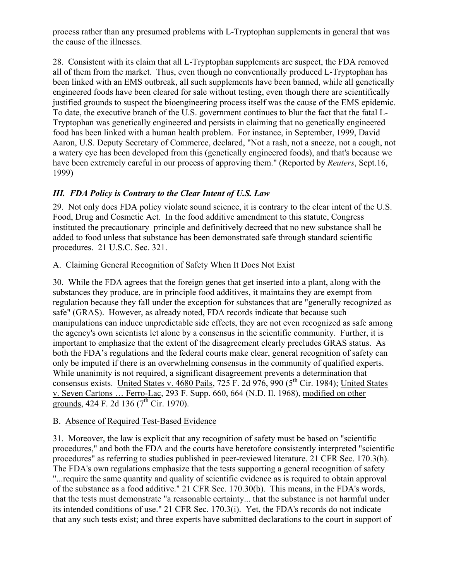process rather than any presumed problems with L-Tryptophan supplements in general that was the cause of the illnesses.

28. Consistent with its claim that all L-Tryptophan supplements are suspect, the FDA removed all of them from the market. Thus, even though no conventionally produced L-Tryptophan has been linked with an EMS outbreak, all such supplements have been banned, while all genetically engineered foods have been cleared for sale without testing, even though there are scientifically justified grounds to suspect the bioengineering process itself was the cause of the EMS epidemic. To date, the executive branch of the U.S. government continues to blur the fact that the fatal L-Tryptophan was genetically engineered and persists in claiming that no genetically engineered food has been linked with a human health problem. For instance, in September, 1999, David Aaron, U.S. Deputy Secretary of Commerce, declared, "Not a rash, not a sneeze, not a cough, not a watery eye has been developed from this (genetically engineered foods), and that's because we have been extremely careful in our process of approving them." (Reported by *Reuters*, Sept.16, 1999)

# *III. FDA Policy is Contrary to the Clear Intent of U.S. Law*

29. Not only does FDA policy violate sound science, it is contrary to the clear intent of the U.S. Food, Drug and Cosmetic Act. In the food additive amendment to this statute, Congress instituted the precautionary principle and definitively decreed that no new substance shall be added to food unless that substance has been demonstrated safe through standard scientific procedures. 21 U.S.C. Sec. 321.

## A. Claiming General Recognition of Safety When It Does Not Exist

30. While the FDA agrees that the foreign genes that get inserted into a plant, along with the substances they produce, are in principle food additives, it maintains they are exempt from regulation because they fall under the exception for substances that are "generally recognized as safe" (GRAS). However, as already noted, FDA records indicate that because such manipulations can induce unpredictable side effects, they are not even recognized as safe among the agency's own scientists let alone by a consensus in the scientific community. Further, it is important to emphasize that the extent of the disagreement clearly precludes GRAS status. As both the FDA's regulations and the federal courts make clear, general recognition of safety can only be imputed if there is an overwhelming consensus in the community of qualified experts. While unanimity is not required, a significant disagreement prevents a determination that consensus exists. United States v. 4680 Pails, 725 F. 2d 976, 990 (5<sup>th</sup> Cir. 1984); United States v. Seven Cartons … Ferro-Lac, 293 F. Supp. 660, 664 (N.D. Il. 1968), modified on other grounds, 424 F. 2d 136 ( $7<sup>th</sup>$  Cir. 1970).

#### B. Absence of Required Test-Based Evidence

31. Moreover, the law is explicit that any recognition of safety must be based on "scientific procedures," and both the FDA and the courts have heretofore consistently interpreted "scientific procedures" as referring to studies published in peer-reviewed literature. 21 CFR Sec. 170.3(h). The FDA's own regulations emphasize that the tests supporting a general recognition of safety "...require the same quantity and quality of scientific evidence as is required to obtain approval of the substance as a food additive." 21 CFR Sec. 170.30(b). This means, in the FDA's words, that the tests must demonstrate "a reasonable certainty... that the substance is not harmful under its intended conditions of use." 21 CFR Sec. 170.3(i). Yet, the FDA's records do not indicate that any such tests exist; and three experts have submitted declarations to the court in support of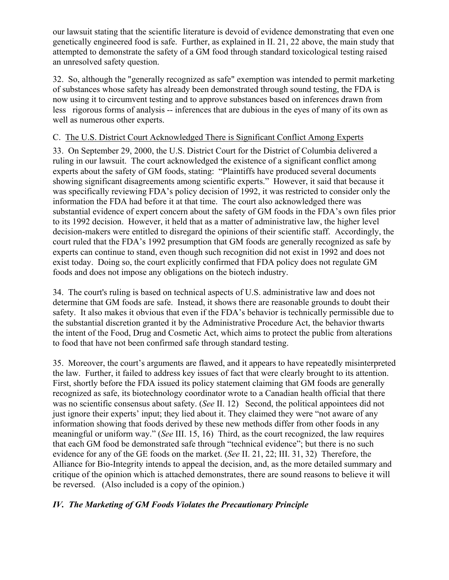our lawsuit stating that the scientific literature is devoid of evidence demonstrating that even one genetically engineered food is safe. Further, as explained in II. 21, 22 above, the main study that attempted to demonstrate the safety of a GM food through standard toxicological testing raised an unresolved safety question.

32. So, although the "generally recognized as safe" exemption was intended to permit marketing of substances whose safety has already been demonstrated through sound testing, the FDA is now using it to circumvent testing and to approve substances based on inferences drawn from less rigorous forms of analysis -- inferences that are dubious in the eyes of many of its own as well as numerous other experts.

## C. The U.S. District Court Acknowledged There is Significant Conflict Among Experts

33. On September 29, 2000, the U.S. District Court for the District of Columbia delivered a ruling in our lawsuit. The court acknowledged the existence of a significant conflict among experts about the safety of GM foods, stating: "Plaintiffs have produced several documents showing significant disagreements among scientific experts." However, it said that because it was specifically reviewing FDA's policy decision of 1992, it was restricted to consider only the information the FDA had before it at that time. The court also acknowledged there was substantial evidence of expert concern about the safety of GM foods in the FDA's own files prior to its 1992 decision. However, it held that as a matter of administrative law, the higher level decision-makers were entitled to disregard the opinions of their scientific staff. Accordingly, the court ruled that the FDA's 1992 presumption that GM foods are generally recognized as safe by experts can continue to stand, even though such recognition did not exist in 1992 and does not exist today. Doing so, the court explicitly confirmed that FDA policy does not regulate GM foods and does not impose any obligations on the biotech industry.

34. The court's ruling is based on technical aspects of U.S. administrative law and does not determine that GM foods are safe. Instead, it shows there are reasonable grounds to doubt their safety. It also makes it obvious that even if the FDA's behavior is technically permissible due to the substantial discretion granted it by the Administrative Procedure Act, the behavior thwarts the intent of the Food, Drug and Cosmetic Act, which aims to protect the public from alterations to food that have not been confirmed safe through standard testing.

35. Moreover, the court's arguments are flawed, and it appears to have repeatedly misinterpreted the law. Further, it failed to address key issues of fact that were clearly brought to its attention. First, shortly before the FDA issued its policy statement claiming that GM foods are generally recognized as safe, its biotechnology coordinator wrote to a Canadian health official that there was no scientific consensus about safety. (*See* II. 12) Second, the political appointees did not just ignore their experts' input; they lied about it. They claimed they were "not aware of any information showing that foods derived by these new methods differ from other foods in any meaningful or uniform way." (*See* III. 15, 16) Third, as the court recognized, the law requires that each GM food be demonstrated safe through "technical evidence"; but there is no such evidence for any of the GE foods on the market. (*See* II. 21, 22; III. 31, 32) Therefore, the Alliance for Bio-Integrity intends to appeal the decision, and, as the more detailed summary and critique of the opinion which is attached demonstrates, there are sound reasons to believe it will be reversed. (Also included is a copy of the opinion.)

## *IV. The Marketing of GM Foods Violates the Precautionary Principle*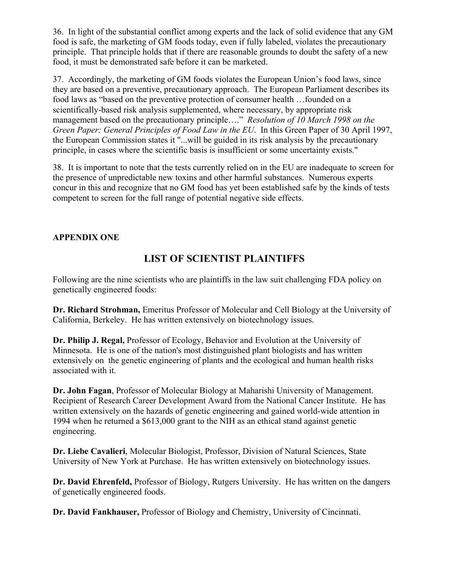36. In light of the substantial conflict among experts and the lack of solid evidence that any GM food is safe, the marketing of GM foods today, even if fully labeled, violates the precautionary principle. That principle holds that if there are reasonable grounds to doubt the safety of a new food, it must be demonstrated safe before it can be marketed.

37. Accordingly, the marketing of GM foods violates the European Union's food laws, since they are based on a preventive, precautionary approach. The European Parliament describes its food laws as "based on the preventive protection of consumer health …founded on a scientifically-based risk analysis supplemented, where necessary, by appropriate risk management based on the precautionary principle…." *Resolution of 10 March 1998 on the Green Paper: General Principles of Food Law in the EU*. In this Green Paper of 30 April 1997, the European Commission states it "...will be guided in its risk analysis by the precautionary principle, in cases where the scientific basis is insufficient or some uncertainty exists."

38. It is important to note that the tests currently relied on in the EU are inadequate to screen for the presence of unpredictable new toxins and other harmful substances. Numerous experts concur in this and recognize that no GM food has yet been established safe by the kinds of tests competent to screen for the full range of potential negative side effects.

## **APPENDIX ONE**

# **LIST OF SCIENTIST PLAINTIFFS**

Following are the nine scientists who are plaintiffs in the law suit challenging FDA policy on genetically engineered foods:

**Dr. Richard Strohman,** Emeritus Professor of Molecular and Cell Biology at the University of California, Berkeley. He has written extensively on biotechnology issues.

**Dr. Philip J. Regal,** Professor of Ecology, Behavior and Evolution at the University of Minnesota. He is one of the nation's most distinguished plant biologists and has written extensively on the genetic engineering of plants and the ecological and human health risks associated with it.

**Dr. John Fagan**, Professor of Molecular Biology at Maharishi University of Management. Recipient of Research Career Development Award from the National Cancer Institute. He has written extensively on the hazards of genetic engineering and gained world-wide attention in 1994 when he returned a \$613,000 grant to the NIH as an ethical stand against genetic engineering.

**Dr. Liebe Cavalieri**, Molecular Biologist, Professor, Division of Natural Sciences, State University of New York at Purchase. He has written extensively on biotechnology issues.

**Dr. David Ehrenfeld,** Professor of Biology, Rutgers University. He has written on the dangers of genetically engineered foods.

**Dr. David Fankhauser,** Professor of Biology and Chemistry, University of Cincinnati.